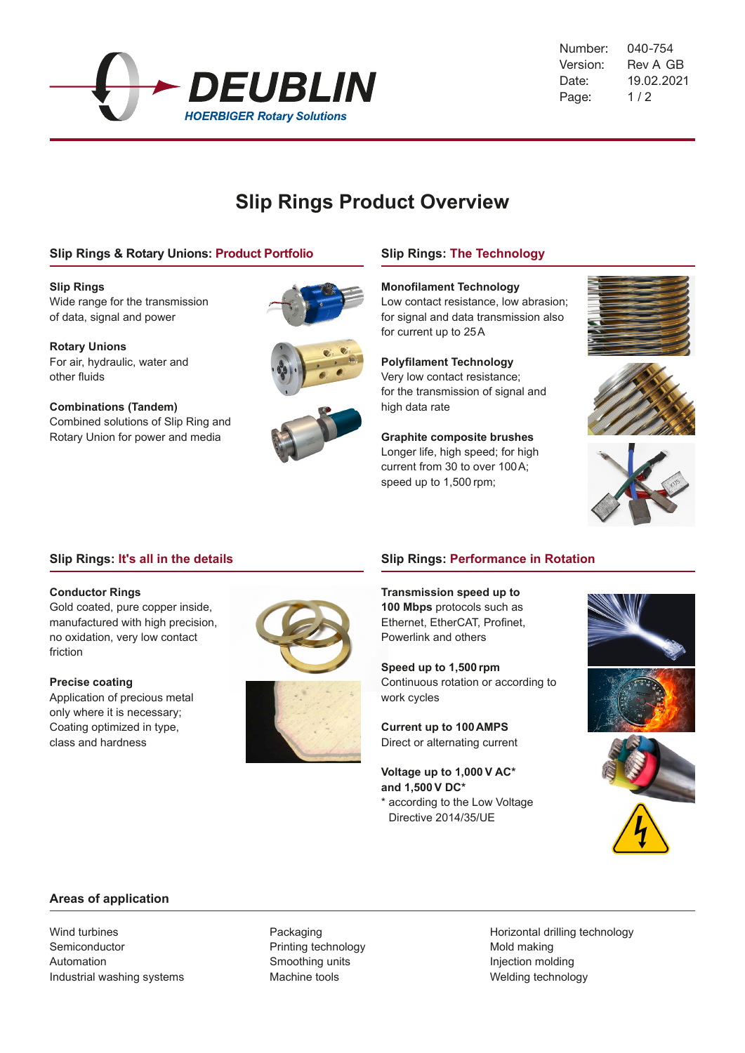

040-754 Version: Rev A GB 19.02.2021  $1/2$ Number: Date: Page:

# **Slip Rings Product Overview**

## **Slip Rings & Rotary Unions: Product Portfolio**

**Slip Rings** Wide range for the transmission of data, signal and power

**Rotary Unions** For air, hydraulic, water and other fluids

**Combinations (Tandem)** Combined solutions of Slip Ring and Rotary Union for power and media







## **Slip Rings: The Technology**

#### **Monofilament Technology**

Low contact resistance, low abrasion; for signal and data transmission also for current up to 25A

**Polyfilament Technology**

Very low contact resistance; for the transmission of signal and high data rate

**Graphite composite brushes** Longer life, high speed; for high current from 30 to over 100A; speed up to 1,500 rpm;







## **Slip Rings: It's all in the details**

#### **Conductor Rings**

Gold coated, pure copper inside, manufactured with high precision, no oxidation, very low contact friction

**Precise coating** Application of precious metal only where it is necessary; Coating optimized in type, class and hardness





## **Slip Rings: Performance in Rotation**

**Transmission speed up to 100 Mbps** protocols such as Ethernet, EtherCAT, Profinet, Powerlink and others

**Speed up to 1,500 rpm** Continuous rotation or according to work cycles

**Current up to 100AMPS** Direct or alternating current

**Voltage up to 1,000V AC\* and 1,500 V DC\*** \* according to the Low Voltage

Directive 2014/35/UE



## **Areas of application**

Wind turbines Semiconductor Automation Industrial washing systems

Packaging Printing technology Smoothing units Machine tools

Horizontal drilling technology Mold making Injection molding Welding technology